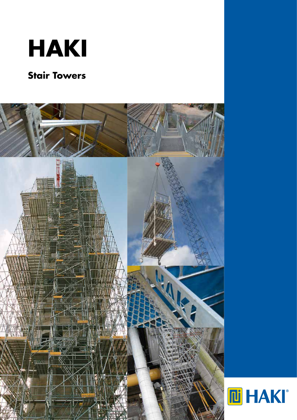

### **Stair Towers**

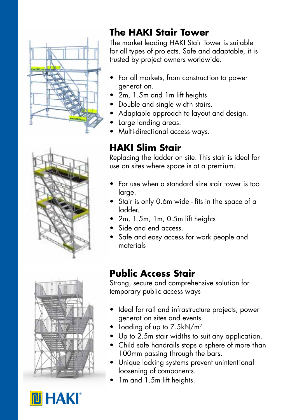

## **The HAKI Stair Tower**

The market leading HAKI Stair Tower is suitable for all types of projects. Safe and adaptable, it is trusted by project owners worldwide.

- For all markets, from construction to power generation.
- 2m, 1.5m and 1m lift heights
- Double and single width stairs.
- Adaptable approach to layout and design.
- Large landing areas.
- Multi-directional access ways.

# **HAKI Slim Stair**

Replacing the ladder on site. This stair is ideal for use on sites where space is at a premium.

- For use when a standard size stair tower is too large.
- Stair is only 0.6m wide fits in the space of a ladder.
- 2m, 1.5m, 1m, 0.5m lift heights
- Side and end access.
- Safe and easy access for work people and materials

#### **Public Access Stair** Strong, secure and comprehensive solution for temporary public access ways

- Ideal for rail and infrastructure projects, power generation sites and events.
- Loading of up to 7.5kN/m<sup>2</sup>.
- Up to 2.5m stair widths to suit any application.
- Child safe handrails stops a sphere of more than 100mm passing through the bars.
- Unique locking systems prevent unintentional loosening of components.
- 1m and 1.5m lift heights.





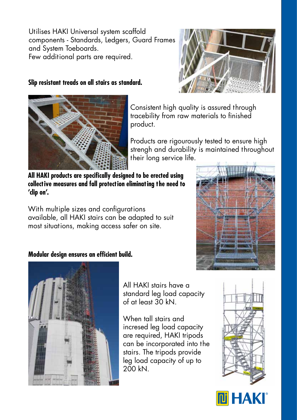Utilises HAKI Universal system scaffold components - Standards, Ledgers, Guard Frames and System Toeboards. Few additional parts are required.

#### **Slip resistant treads on all stairs as standard.**





Consistent high quality is assured through tracebility from raw materials to finished product.

Products are rigourously tested to ensure high strengh and durability is maintained throughout their long service life.

**All HAKI products are specifically designed to be erected using collective measures and fall protection eliminating the need to 'clip on'.** 

With multiple sizes and configurations available, all HAKI stairs can be adapted to suit most situations, making access safer on site.

### **Modular design ensures an efficient build.**



All HAKI stairs have a standard leg load capacity of at least 30 kN.

When tall stairs and incresed leg load capacity are required, HAKI tripods can be incorporated into the stairs. The tripods provide leg load capacity of up to 200 kN.